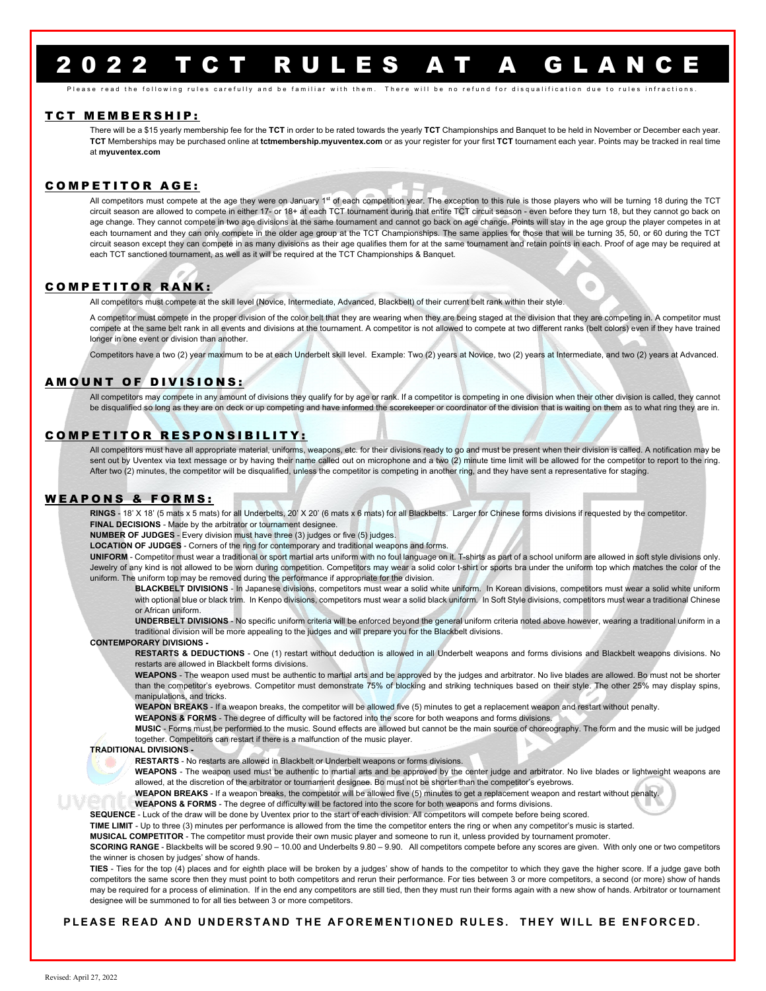# 202 2 TCT RULES AT A GLANCE

.<br>Please read the following rules carefully and be familiar with them. There will be no refund for disqualification due to rule:

#### TCT MEMBERSHIP:

There will be a \$15 yearly membership fee for the **TCT** in order to be rated towards the yearly **TCT** Championships and Banquet to be held in November or December each year. **TCT** Memberships may be purchased online at **tctmembership.myuventex.com** or as your register for your first **TCT** tournament each year. Points may be tracked in real time at **myuventex.com**

#### COMPETITOR AGE:

All competitors must compete at the age they were on January 1st of each competition year. The exception to this rule is those players who will be turning 18 during the TCT circuit season are allowed to compete in either 17- or 18+ at each TCT tournament during that entire TCT circuit season - even before they turn 18, but they cannot go back on age change. They cannot compete in two age divisions at the same tournament and cannot go back on age change. Points will stay in the age group the player competes in at each tournament and they can only compete in the older age group at the TCT Championships. The same applies for those that will be turning 35, 50, or 60 during the TCT circuit season except they can compete in as many divisions as their age qualifies them for at the same tournament and retain points in each. Proof of age may be required at each TCT sanctioned tournament, as well as it will be required at the TCT Championships & Banquet.

## COMPETITOR RANK:

All competitors must compete at the skill level (Novice, Intermediate, Advanced, Blackbelt) of their current belt rank within their style.

A competitor must compete in the proper division of the color belt that they are wearing when they are being staged at the division that they are competing in. A competitor must compete at the same belt rank in all events and divisions at the tournament. A competitor is not allowed to compete at two different ranks (belt colors) even if they have trained longer in one event or division than another.

Competitors have a two (2) year maximum to be at each Underbelt skill level. Example: Two (2) years at Novice, two (2) years at Intermediate, and two (2) years at Advanced.

## AMOUNT OF DIVISIONS:

All competitors may compete in any amount of divisions they qualify for by age or rank. If a competitor is competing in one division when their other division is called, they cannot be disqualified so long as they are on deck or up competing and have informed the scorekeeper or coordinator of the division that is waiting on them as to what ring they are in.

#### COMPETITOR RESPONSIBILITY:

All competitors must have all appropriate material, uniforms, weapons, etc. for their divisions ready to go and must be present when their division is called. A notification may be sent out by Uventex via text message or by having their name called out on microphone and a two (2) minute time limit will be allowed for the competitor to report to the ring. After two (2) minutes, the competitor will be disqualified, unless the competitor is competing in another ring, and they have sent a representative for staging.

#### WEAPONS & FORMS:

**RINGS** - 18' X 18' (5 mats x 5 mats) for all Underbelts, 20' X 20' (6 mats x 6 mats) for all Blackbelts. Larger for Chinese forms divisions if requested by the competitor.  **FINAL DECISIONS** - Made by the arbitrator or tournament designee.

**NUMBER OF JUDGES** - Every division must have three (3) judges or five (5) judges.

**LOCATION OF JUDGES** - Corners of the ring for contemporary and traditional weapons and forms.

**UNIFORM** - Competitor must wear a traditional or sport martial arts uniform with no foul language on it. T-shirts as part of a school uniform are allowed in soft style divisions only. Jewelry of any kind is not allowed to be worn during competition. Competitors may wear a solid color t-shirt or sports bra under the uniform top which matches the color of the uniform. The uniform top may be removed during the performance if appropriate for the division.

**BLACKBELT DIVISIONS** - In Japanese divisions, competitors must wear a solid white uniform. In Korean divisions, competitors must wear a solid white uniform with optional blue or black trim. In Kenpo divisions, competitors must wear a solid black uniform. In Soft Style divisions, competitors must wear a traditional Chinese or African uniform.

**UNDERBELT DIVISIONS** - No specific uniform criteria will be enforced beyond the general uniform criteria noted above however, wearing a traditional uniform in a traditional division will be more appealing to the judges and will prepare you for the Blackbelt divisions.

#### **CONTEMPORARY DIVISIONS -**

**RESTARTS & DEDUCTIONS** - One (1) restart without deduction is allowed in all Underbelt weapons and forms divisions and Blackbelt weapons divisions. No restarts are allowed in Blackbelt forms divisions.

**WEAPONS** - The weapon used must be authentic to martial arts and be approved by the judges and arbitrator. No live blades are allowed. Bo must not be shorter than the competitor's eyebrows. Competitor must demonstrate 75% of blocking and striking techniques based on their style. The other 25% may display spins, manipulations, and tricks.

**WEAPON BREAKS** - If a weapon breaks, the competitor will be allowed five (5) minutes to get a replacement weapon and restart without penalty.

**WEAPONS & FORMS** - The degree of difficulty will be factored into the score for both weapons and forms divisions.

**MUSIC** - Forms must be performed to the music. Sound effects are allowed but cannot be the main source of choreography. The form and the music will be judged together. Competitors can restart if there is a malfunction of the music player.

#### **TRADITIONAL DIVISIONS -**

**RESTARTS** - No restarts are allowed in Blackbelt or Underbelt weapons or forms divisions.

**WEAPONS** - The weapon used must be authentic to martial arts and be approved by the center judge and arbitrator. No live blades or lightweight weapons are allowed, at the discretion of the arbitrator or tournament designee. Bo must not be shorter than the competitor's eyebrows.

**WEAPON BREAKS** - If a weapon breaks, the competitor will be allowed five (5) minutes to get a replacement weapon and restart without penalty.

**WEAPONS & FORMS** - The degree of difficulty will be factored into the score for both weapons and forms divisions.

SEQUENCE - Luck of the draw will be done by Uventex prior to the start of each division. All competitors will compete before being scored.

 **TIME LIMIT** - Up to three (3) minutes per performance is allowed from the time the competitor enters the ring or when any competitor's music is started.

 **MUSICAL COMPETITOR** - The competitor must provide their own music player and someone to run it, unless provided by tournament promoter.

**SCORING RANGE** - Blackbelts will be scored 9.90 – 10.00 and Underbelts 9.80 – 9.90. All competitors compete before any scores are given. With only one or two competitors the winner is chosen by judges' show of hands.

 **TIES** - Ties for the top (4) places and for eighth place will be broken by a judges' show of hands to the competitor to which they gave the higher score. If a judge gave both competitors the same score then they must point to both competitors and rerun their performance. For ties between 3 or more competitors, a second (or more) show of hands may be required for a process of elimination. If in the end any competitors are still tied, then they must run their forms again with a new show of hands. Arbitrator or tournament designee will be summoned to for all ties between 3 or more competitors.

## **PLEASE READ AND UNDERSTAND THE AFOREMENTIONED RULES. THEY WILL BE ENFORCED .**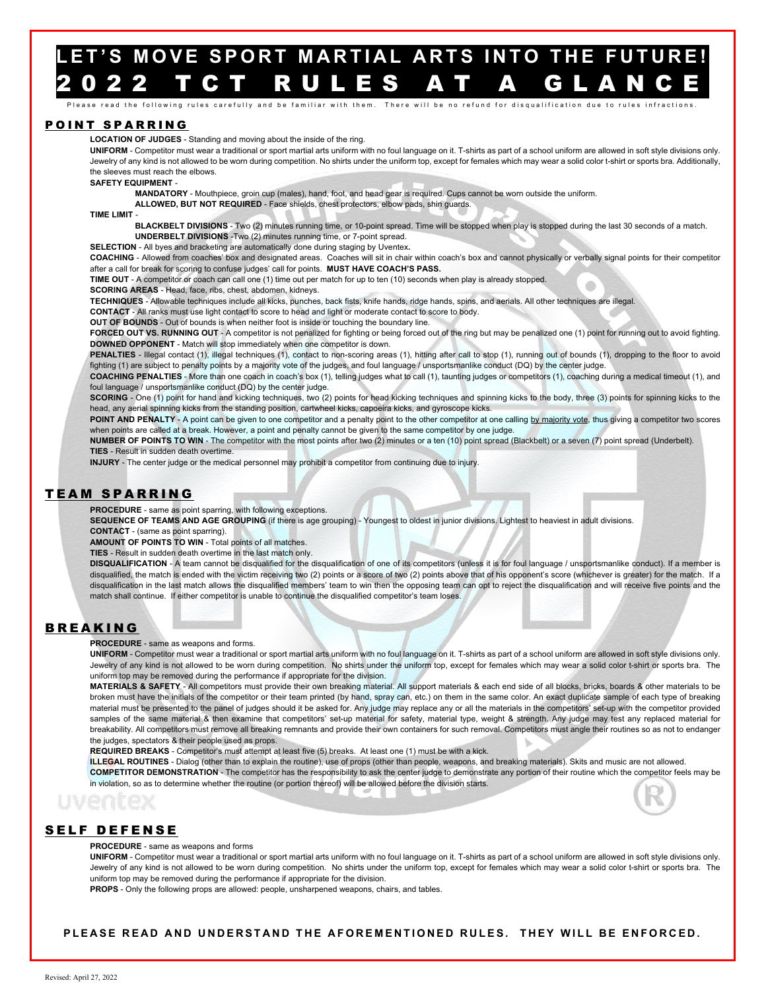## **LET'S MOVE SPORT MARTIAL ARTS INTO THE FUTURE!** 202 2 TCT RULES AT A GLANCE

se read the following rules carefully and be familiar with them. There will be no refund for disqualification due to rules infractions

#### POINT SPARRING

**LOCATION OF JUDGES** - Standing and moving about the inside of the ring.

**UNIFORM** - Competitor must wear a traditional or sport martial arts uniform with no foul language on it. T-shirts as part of a school uniform are allowed in soft style divisions only. Jewelry of any kind is not allowed to be worn during competition. No shirts under the uniform top, except for females which may wear a solid color t-shirt or sports bra. Additionally, the sleeves must reach the elbows.

#### **SAFETY EQUIPMENT** -

 **MANDATORY** - Mouthpiece, groin cup (males), hand, foot, and head gear is required. Cups cannot be worn outside the uniform.

 **ALLOWED, BUT NOT REQUIRED** - Face shields, chest protectors, elbow pads, shin guards.

**TIME LIMIT** 

 **BLACKBELT DIVISIONS** - Two (2) minutes running time, or 10-point spread. Time will be stopped when play is stopped during the last 30 seconds of a match.  **UNDERBELT DIVISIONS** -Two (2) minutes running time, or 7-point spread.

 **SELECTION** - All byes and bracketing are automatically done during staging by Uventex**.** 

 **COACHING** - Allowed from coaches' box and designated areas. Coaches will sit in chair within coach's box and cannot physically or verbally signal points for their competitor after a call for break for scoring to confuse judges' call for points. **MUST HAVE COACH'S PASS.**

 **TIME OUT** - A competitor or coach can call one (1) time out per match for up to ten (10) seconds when play is already stopped.

 **SCORING AREAS** - Head, face, ribs, chest, abdomen, kidneys.

 **TECHNIQUES** - Allowable techniques include all kicks, punches, back fists, knife hands, ridge hands, spins, and aerials. All other techniques are illegal.

 **CONTACT** - All ranks must use light contact to score to head and light or moderate contact to score to body.

 **OUT OF BOUNDS** - Out of bounds is when neither foot is inside or touching the boundary line.

FORCED OUT VS. RUNNING OUT - A competitor is not penalized for fighting or being forced out of the ring but may be penalized one (1) point for running out to avoid fighting.  **DOWNED OPPONENT** - Match will stop immediately when one competitor is down.

**PENALTIES** - Illegal contact (1), illegal techniques (1), contact to non-scoring areas (1), hitting after call to stop (1), running out of bounds (1), dropping to the floor to avoid fighting (1) are subject to penalty points by a majority vote of the judges, and foul language / unsportsmanlike conduct (DQ) by the center judge.

**COACHING PENALTIES** - More than one coach in coach's box (1), telling judges what to call (1), taunting judges or competitors (1), coaching during a medical timeout (1), and foul language / unsportsmanlike conduct (DQ) by the center judge.

**SCORING** - One (1) point for hand and kicking techniques, two (2) points for head kicking techniques and spinning kicks to the body, three (3) points for spinning kicks to the head, any aerial spinning kicks from the standing position, cartwheel kicks, capoeira kicks, and gyroscope kicks.

POINT AND PENALTY - A point can be given to one competitor and a penalty point to the other competitor at one calling by majority vote, thus giving a competitor two scores when points are called at a break. However, a point and penalty cannot be given to the same competitor by one judge.

 **NUMBER OF POINTS TO WIN** - The competitor with the most points after two (2) minutes or a ten (10) point spread (Blackbelt) or a seven (7) point spread (Underbelt).  **TIES** - Result in sudden death overtime.

 **INJURY** - The center judge or the medical personnel may prohibit a competitor from continuing due to injury.

### TEAM SPARRING

**PROCEDURE** - same as point sparring, with following exceptions.

**SEQUENCE OF TEAMS AND AGE GROUPING** (if there is age grouping) - Youngest to oldest in junior divisions. Lightest to heaviest in adult divisions. **CONTACT** - (same as point sparring).

**AMOUNT OF POINTS TO WIN** - Total points of all matches.

**TIES** - Result in sudden death overtime in the last match only.

**DISQUALIFICATION** - A team cannot be disqualified for the disqualification of one of its competitors (unless it is for foul language / unsportsmanlike conduct). If a member is disqualified, the match is ended with the victim receiving two (2) points or a score of two (2) points above that of his opponent's score (whichever is greater) for the match. If a disqualification in the last match allows the disqualified members' team to win then the opposing team can opt to reject the disqualification and will receive five points and the match shall continue. If either competitor is unable to continue the disqualified competitor's team loses.

#### BREAKING

**PROCEDURE** - same as weapons and forms.

**UNIFORM** - Competitor must wear a traditional or sport martial arts uniform with no foul language on it. T-shirts as part of a school uniform are allowed in soft style divisions only. Jewelry of any kind is not allowed to be worn during competition. No shirts under the uniform top, except for females which may wear a solid color t-shirt or sports bra. The uniform top may be removed during the performance if appropriate for the division.

**MATERIALS & SAFETY** - All competitors must provide their own breaking material. All support materials & each end side of all blocks, bricks, boards & other materials to be broken must have the initials of the competitor or their team printed (by hand, spray can, etc.) on them in the same color. An exact duplicate sample of each type of breaking material must be presented to the panel of judges should it be asked for. Any judge may replace any or all the materials in the competitors' set-up with the competitor provided samples of the same material & then examine that competitors' set-up material for safety, material type, weight & strength. Any judge may test any replaced material for breakability. All competitors must remove all breaking remnants and provide their own containers for such removal. Competitors must angle their routines so as not to endanger the judges, spectators & their people used as props.

**REQUIRED BREAKS** - Competitor's must attempt at least five (5) breaks. At least one (1) must be with a kick.

**ILLEGAL ROUTINES** - Dialog (other than to explain the routine), use of props (other than people, weapons, and breaking materials). Skits and music are not allowed. **COMPETITOR DEMONSTRATION** - The competitor has the responsibility to ask the center judge to demonstrate any portion of their routine which the competitor feels may be in violation, so as to determine whether the routine (or portion thereof) will be allowed before the division starts.



#### SELF DEFENSE

**PROCEDURE** - same as weapons and forms

**UNIFORM** - Competitor must wear a traditional or sport martial arts uniform with no foul language on it. T-shirts as part of a school uniform are allowed in soft style divisions only. Jewelry of any kind is not allowed to be worn during competition. No shirts under the uniform top, except for females which may wear a solid color t-shirt or sports bra. The uniform top may be removed during the performance if appropriate for the division.

**PROPS** - Only the following props are allowed: people, unsharpened weapons, chairs, and tables.

PLEASE READ AND UNDERSTAND THE AFOREMENTIONED RULES. THEY WILL BE ENFORCED.